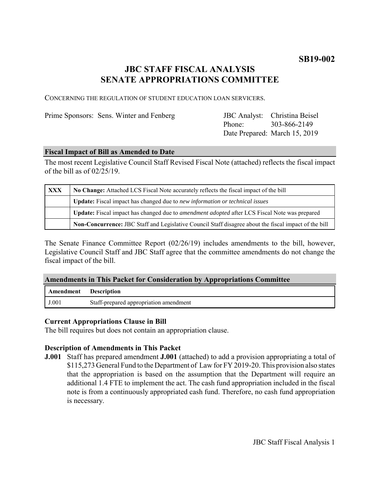# **JBC STAFF FISCAL ANALYSIS SENATE APPROPRIATIONS COMMITTEE**

CONCERNING THE REGULATION OF STUDENT EDUCATION LOAN SERVICERS.

Prime Sponsors: Sens. Winter and Fenberg

Phone: Date Prepared: March 15, 2019 JBC Analyst: Christina Beisel 303-866-2149

#### **Fiscal Impact of Bill as Amended to Date**

The most recent Legislative Council Staff Revised Fiscal Note (attached) reflects the fiscal impact of the bill as of 02/25/19.

| <b>XXX</b> | No Change: Attached LCS Fiscal Note accurately reflects the fiscal impact of the bill                 |
|------------|-------------------------------------------------------------------------------------------------------|
|            | <b>Update:</b> Fiscal impact has changed due to new information or technical issues                   |
|            | Update: Fiscal impact has changed due to <i>amendment adopted</i> after LCS Fiscal Note was prepared  |
|            | Non-Concurrence: JBC Staff and Legislative Council Staff disagree about the fiscal impact of the bill |

The Senate Finance Committee Report (02/26/19) includes amendments to the bill, however, Legislative Council Staff and JBC Staff agree that the committee amendments do not change the fiscal impact of the bill.

# **Amendments in This Packet for Consideration by Appropriations Committee**

| Amendment | Description                            |
|-----------|----------------------------------------|
| J.001     | Staff-prepared appropriation amendment |

# **Current Appropriations Clause in Bill**

The bill requires but does not contain an appropriation clause.

# **Description of Amendments in This Packet**

**J.001** Staff has prepared amendment **J.001** (attached) to add a provision appropriating a total of \$115,273 General Fund to the Department of Law for FY 2019-20. This provision also states that the appropriation is based on the assumption that the Department will require an additional 1.4 FTE to implement the act. The cash fund appropriation included in the fiscal note is from a continuously appropriated cash fund. Therefore, no cash fund appropriation is necessary.